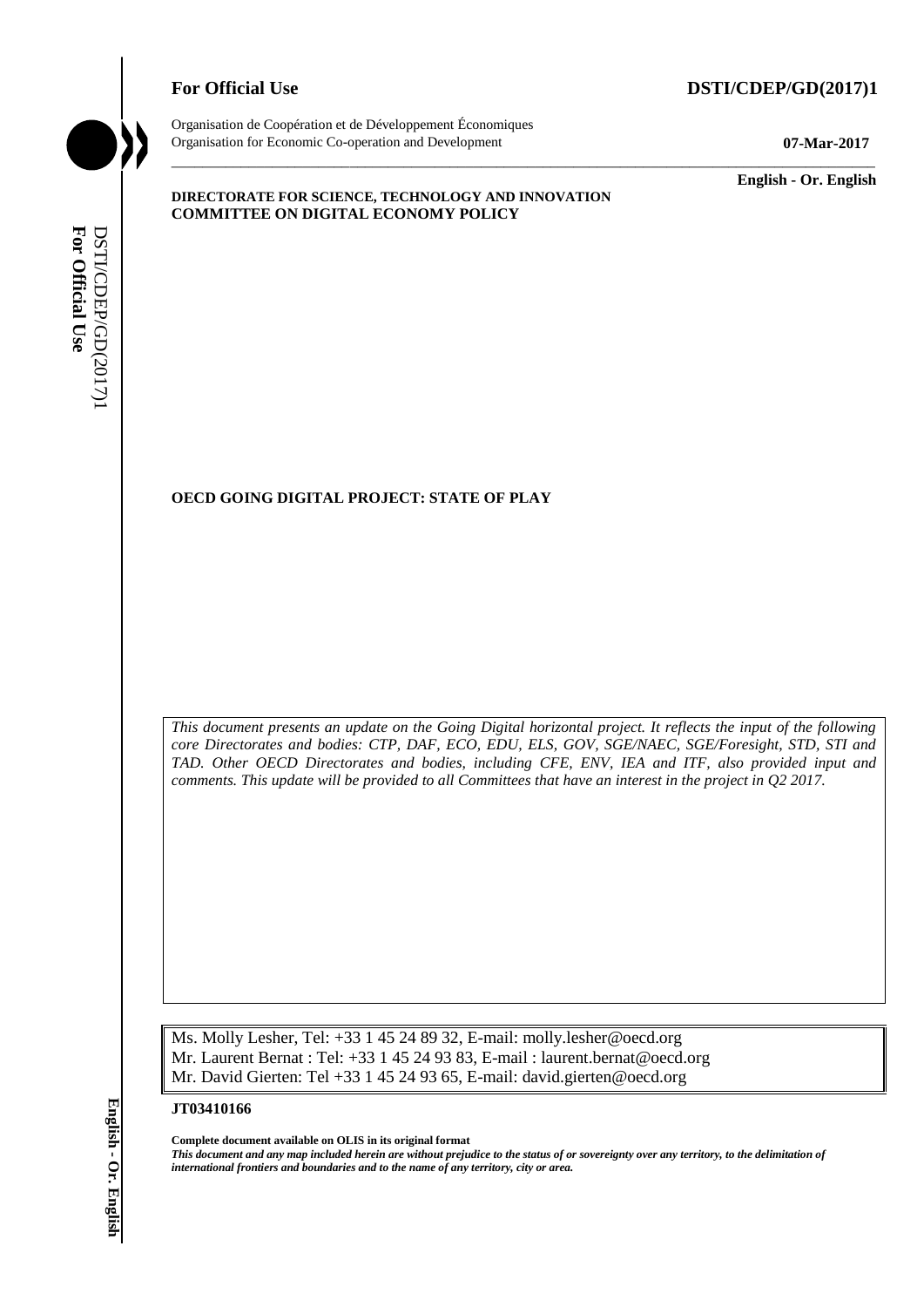# **For Official Use DSTI/CDEP/GD(2017)1**



Organisation de Coopération et de Développement Économiques Organisation for Economic Co-operation and Development **07-Mar-2017**

\_\_\_\_\_\_\_\_\_\_\_\_\_ **English - Or. English**

#### **DIRECTORATE FOR SCIENCE, TECHNOLOGY AND INNOVATION COMMITTEE ON DIGITAL ECONOMY POLICY**

## **OECD GOING DIGITAL PROJECT: STATE OF PLAY**

*This document presents an update on the Going Digital horizontal project. It reflects the input of the following core Directorates and bodies: CTP, DAF, ECO, EDU, ELS, GOV, SGE/NAEC, SGE/Foresight, STD, STI and TAD. Other OECD Directorates and bodies, including CFE, ENV, IEA and ITF, also provided input and comments. This update will be provided to all Committees that have an interest in the project in Q2 2017.* **IF Also CONNG DIGITAL PROJECT:** STATE OF PLAY<br> **ICEO**<br> **ICEO**<br> **ICEO**<br> **ICEO**<br> **ICEO**<br> **ICEO**<br> **ICEO**<br> **ICEO**<br> **ICEO**<br> **ICEO**<br> **ICEO**<br> **ICEO**<br> **ICEO**<br> **ICEO**<br> **ICEO**<br> **ICEO**<br> **ICEO**<br> **ICEO**<br> **ICEO**<br> **ICEO**<br> **ICEO**<br> **ICEO** 

\_\_\_\_\_\_\_\_\_\_\_\_\_\_\_\_\_\_\_\_\_\_\_\_\_\_\_\_\_\_\_\_\_\_\_\_\_\_\_\_\_\_\_\_\_\_\_\_\_\_\_\_\_\_\_\_\_\_\_\_\_\_\_\_\_\_\_\_\_\_\_\_\_\_\_\_\_\_\_\_\_\_\_\_\_\_\_\_\_\_\_

Ms. Molly Lesher, Tel: +33 1 45 24 89 32, E-mail: molly.lesher@oecd.org Mr. Laurent Bernat : Tel: +33 1 45 24 93 83, E-mail : laurent.bernat@oecd.org Mr. David Gierten: Tel +33 1 45 24 93 65, E-mail: david.gierten@oecd.org

**JT03410166**

**Complete document available on OLIS in its original format** *This document and any map included herein are without prejudice to the status of or sovereignty over any territory, to the delimitation of*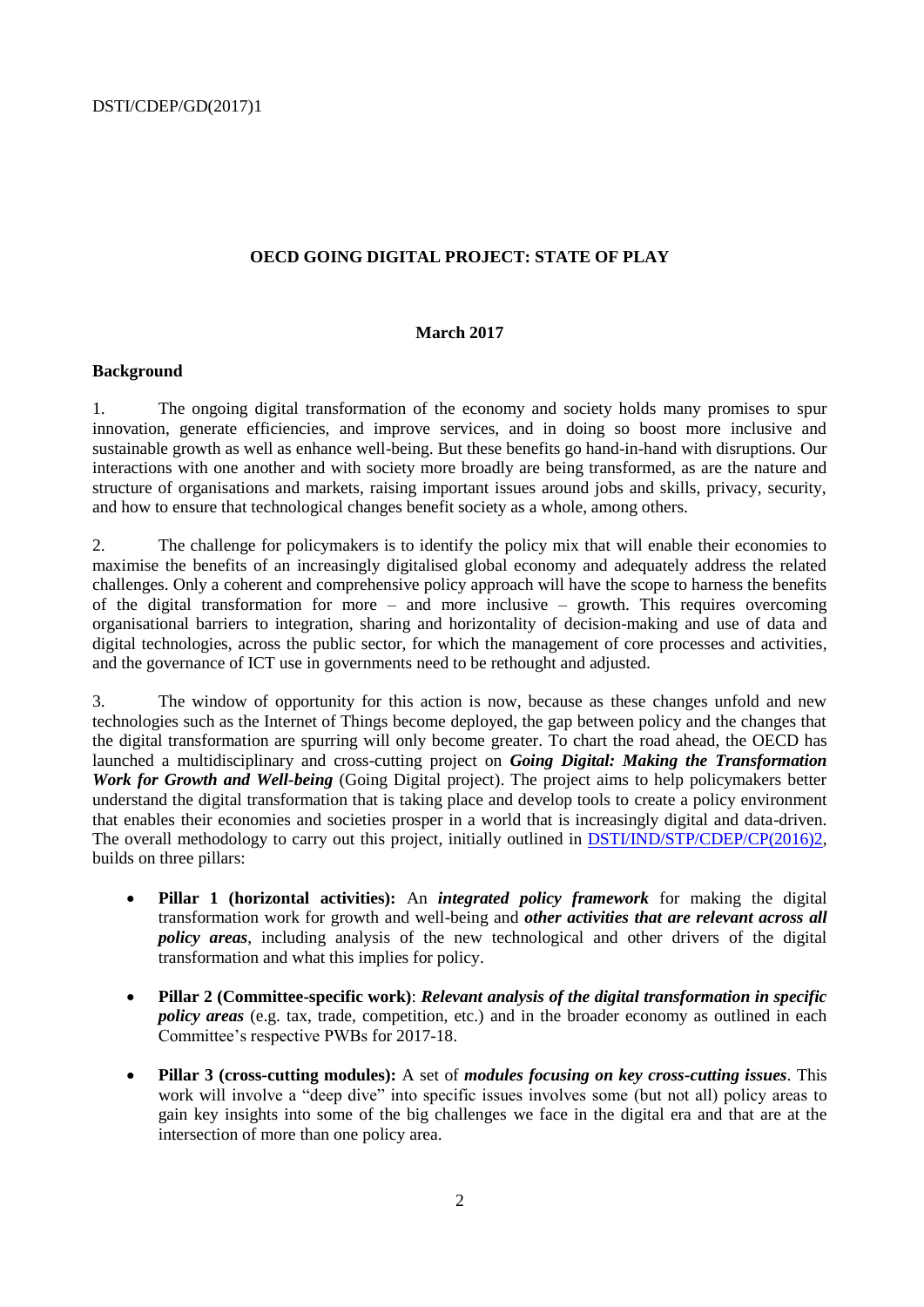## **OECD GOING DIGITAL PROJECT: STATE OF PLAY**

#### **March 2017**

#### **Background**

1. The ongoing digital transformation of the economy and society holds many promises to spur innovation, generate efficiencies, and improve services, and in doing so boost more inclusive and sustainable growth as well as enhance well-being. But these benefits go hand-in-hand with disruptions. Our interactions with one another and with society more broadly are being transformed, as are the nature and structure of organisations and markets, raising important issues around jobs and skills, privacy, security, and how to ensure that technological changes benefit society as a whole, among others.

2. The challenge for policymakers is to identify the policy mix that will enable their economies to maximise the benefits of an increasingly digitalised global economy and adequately address the related challenges. Only a coherent and comprehensive policy approach will have the scope to harness the benefits of the digital transformation for more – and more inclusive – growth. This requires overcoming organisational barriers to integration, sharing and horizontality of decision-making and use of data and digital technologies, across the public sector, for which the management of core processes and activities, and the governance of ICT use in governments need to be rethought and adjusted.

3. The window of opportunity for this action is now, because as these changes unfold and new technologies such as the Internet of Things become deployed, the gap between policy and the changes that the digital transformation are spurring will only become greater. To chart the road ahead, the OECD has launched a multidisciplinary and cross-cutting project on *Going Digital: Making the Transformation Work for Growth and Well-being* (Going Digital project). The project aims to help policymakers better understand the digital transformation that is taking place and develop tools to create a policy environment that enables their economies and societies prosper in a world that is increasingly digital and data-driven. The overall methodology to carry out this project, initially outlined in **DSTI/IND/STP/CDEP/CP(2016)2**, builds on three pillars:

- **Pillar 1 (horizontal activities):** An *integrated policy framework* for making the digital transformation work for growth and well-being and *other activities that are relevant across all policy areas*, including analysis of the new technological and other drivers of the digital transformation and what this implies for policy.
- **Pillar 2 (Committee-specific work)**: *Relevant analysis of the digital transformation in specific policy areas* (e.g. tax, trade, competition, etc.) and in the broader economy as outlined in each Committee's respective PWBs for 2017-18.
- **Pillar 3 (cross-cutting modules):** A set of *modules focusing on key cross-cutting issues*. This work will involve a "deep dive" into specific issues involves some (but not all) policy areas to gain key insights into some of the big challenges we face in the digital era and that are at the intersection of more than one policy area.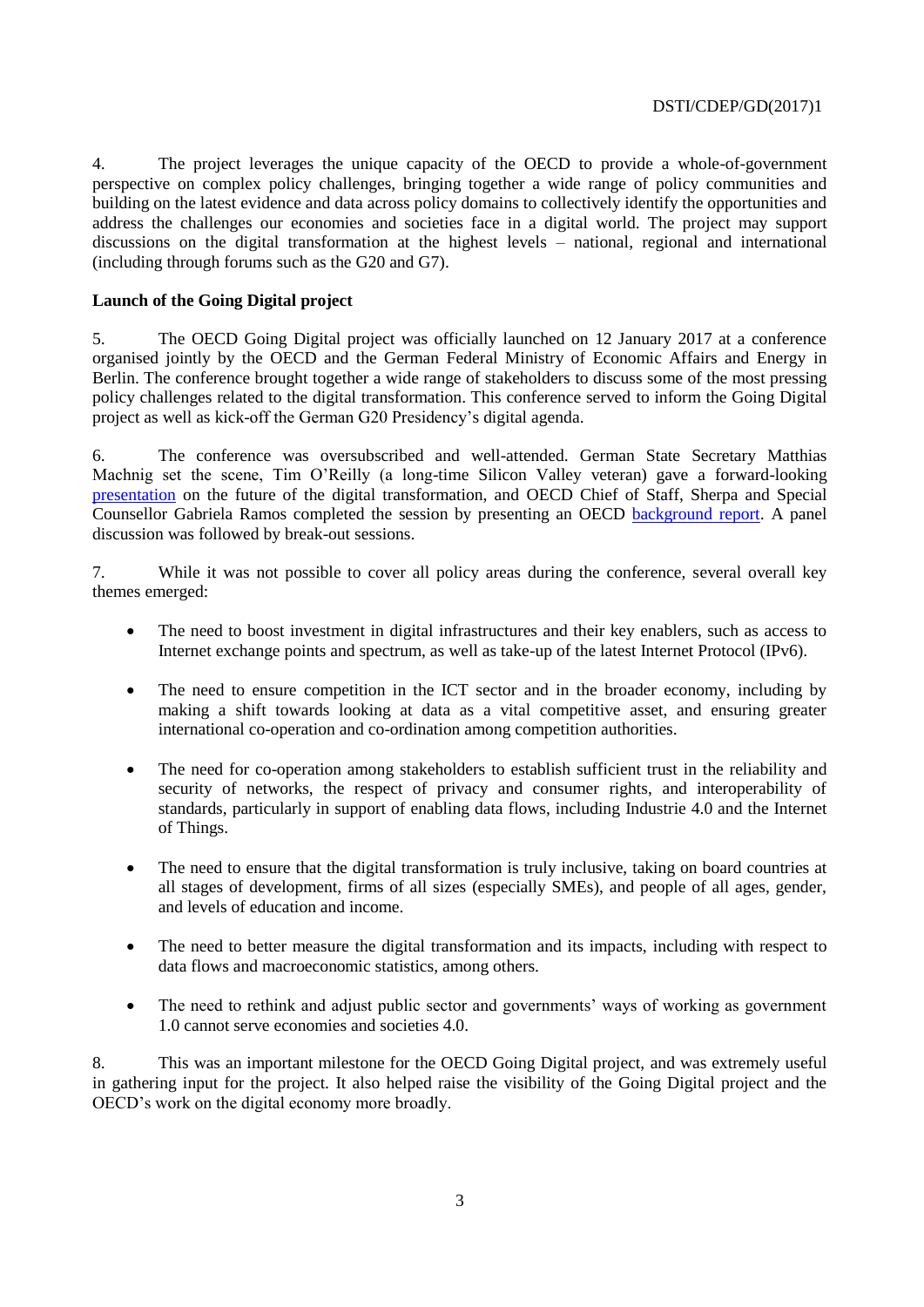4. The project leverages the unique capacity of the OECD to provide a whole-of-government perspective on complex policy challenges, bringing together a wide range of policy communities and building on the latest evidence and data across policy domains to collectively identify the opportunities and address the challenges our economies and societies face in a digital world. The project may support discussions on the digital transformation at the highest levels – national, regional and international (including through forums such as the G20 and G7).

## **Launch of the Going Digital project**

5. The OECD Going Digital project was officially launched on 12 January 2017 at a conference organised jointly by the OECD and the German Federal Ministry of Economic Affairs and Energy in Berlin. The conference brought together a wide range of stakeholders to discuss some of the most pressing policy challenges related to the digital transformation. This conference served to inform the Going Digital project as well as kick-off the German G20 Presidency's digital agenda.

6. The conference was oversubscribed and well-attended. German State Secretary Matthias Machnig set the scene, Tim O'Reilly (a long-time Silicon Valley veteran) gave a forward-looking [presentation](https://www.youtube.com/watch?v=KuL4J3Z0eck) on the future of the digital transformation, and OECD Chief of Staff, Sherpa and Special Counsellor Gabriela Ramos completed the session by presenting an OECD [background report.](https://www.oecd.org/g20/key-issues-for-digital-transformation-in-the-g20.pdf) A panel discussion was followed by break-out sessions.

7. While it was not possible to cover all policy areas during the conference, several overall key themes emerged:

- The need to boost investment in digital infrastructures and their key enablers, such as access to Internet exchange points and spectrum, as well as take-up of the latest Internet Protocol (IPv6).
- The need to ensure competition in the ICT sector and in the broader economy, including by making a shift towards looking at data as a vital competitive asset, and ensuring greater international co-operation and co-ordination among competition authorities.
- The need for co-operation among stakeholders to establish sufficient trust in the reliability and security of networks, the respect of privacy and consumer rights, and interoperability of standards, particularly in support of enabling data flows, including Industrie 4.0 and the Internet of Things.
- The need to ensure that the digital transformation is truly inclusive, taking on board countries at all stages of development, firms of all sizes (especially SMEs), and people of all ages, gender, and levels of education and income.
- The need to better measure the digital transformation and its impacts, including with respect to data flows and macroeconomic statistics, among others.
- The need to rethink and adjust public sector and governments' ways of working as government 1.0 cannot serve economies and societies 4.0.

8. This was an important milestone for the OECD Going Digital project, and was extremely useful in gathering input for the project. It also helped raise the visibility of the Going Digital project and the OECD's work on the digital economy more broadly.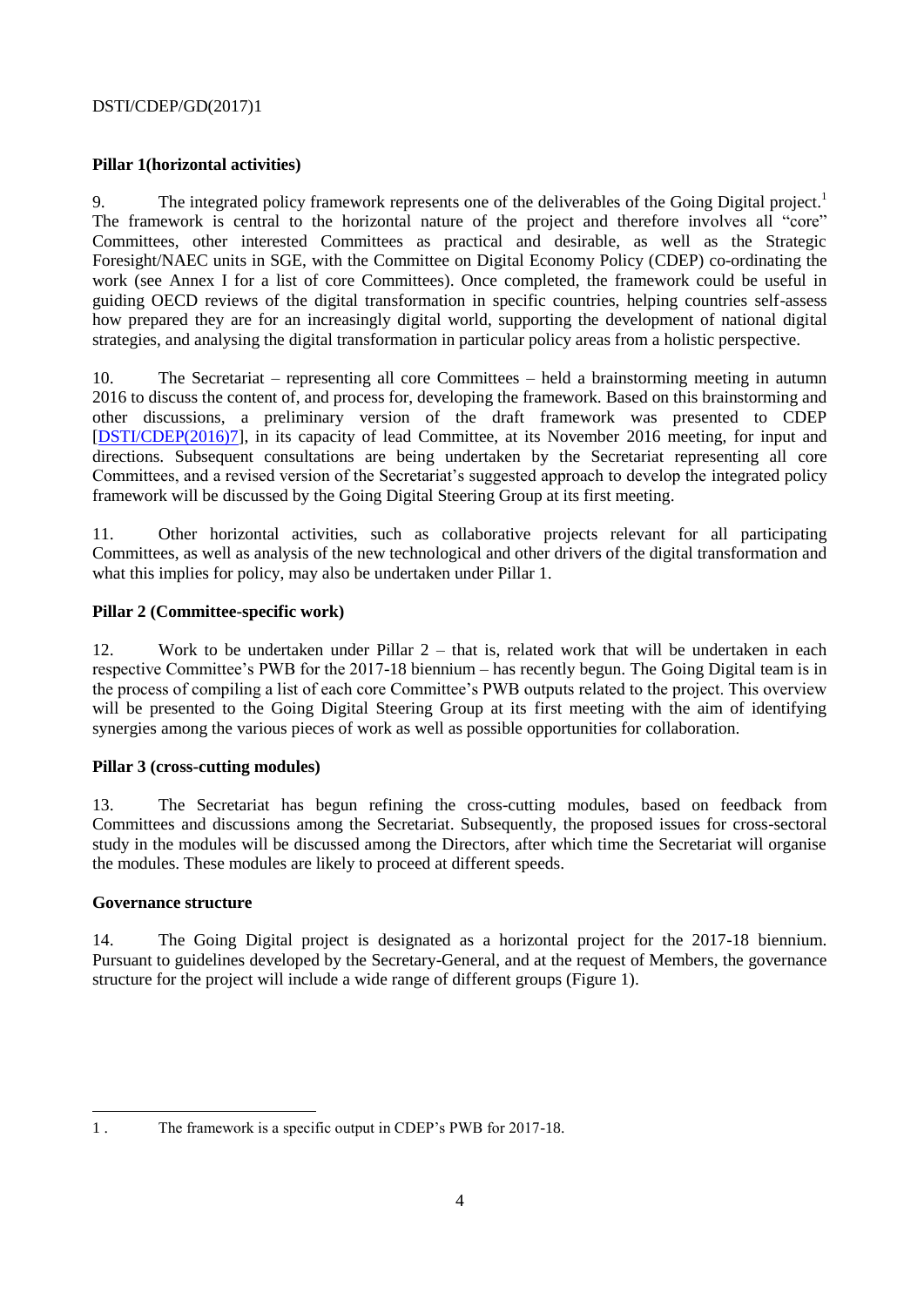## **Pillar 1(horizontal activities)**

9. The integrated policy framework represents one of the deliverables of the Going Digital project.<sup>1</sup> The framework is central to the horizontal nature of the project and therefore involves all "core" Committees, other interested Committees as practical and desirable, as well as the Strategic Foresight/NAEC units in SGE, with the Committee on Digital Economy Policy (CDEP) co-ordinating the work (see Annex I for a list of core Committees). Once completed, the framework could be useful in guiding OECD reviews of the digital transformation in specific countries, helping countries self-assess how prepared they are for an increasingly digital world, supporting the development of national digital strategies, and analysing the digital transformation in particular policy areas from a holistic perspective.

10. The Secretariat – representing all core Committees – held a brainstorming meeting in autumn 2016 to discuss the content of, and process for, developing the framework. Based on this brainstorming and other discussions, a preliminary version of the draft framework was presented to CDEP [\[DSTI/CDEP\(2016\)7\]](http://www2.oecd.org/oecdinfo/info.aspx?app=OLIScoteEN&Ref=DSTI/CDEP(2016)7), in its capacity of lead Committee, at its November 2016 meeting, for input and directions. Subsequent consultations are being undertaken by the Secretariat representing all core Committees, and a revised version of the Secretariat's suggested approach to develop the integrated policy framework will be discussed by the Going Digital Steering Group at its first meeting.

11. Other horizontal activities, such as collaborative projects relevant for all participating Committees, as well as analysis of the new technological and other drivers of the digital transformation and what this implies for policy, may also be undertaken under Pillar 1.

## **Pillar 2 (Committee-specific work)**

12. Work to be undertaken under Pillar 2 – that is, related work that will be undertaken in each respective Committee's PWB for the 2017-18 biennium – has recently begun. The Going Digital team is in the process of compiling a list of each core Committee's PWB outputs related to the project. This overview will be presented to the Going Digital Steering Group at its first meeting with the aim of identifying synergies among the various pieces of work as well as possible opportunities for collaboration.

## **Pillar 3 (cross-cutting modules)**

13. The Secretariat has begun refining the cross-cutting modules, based on feedback from Committees and discussions among the Secretariat. Subsequently, the proposed issues for cross-sectoral study in the modules will be discussed among the Directors, after which time the Secretariat will organise the modules. These modules are likely to proceed at different speeds.

## **Governance structure**

14. The Going Digital project is designated as a horizontal project for the 2017-18 biennium. Pursuant to guidelines developed by the Secretary-General, and at the request of Members, the governance structure for the project will include a wide range of different groups (Figure 1).

 $\overline{\phantom{a}}$ 1 . The framework is a specific output in CDEP's PWB for 2017-18.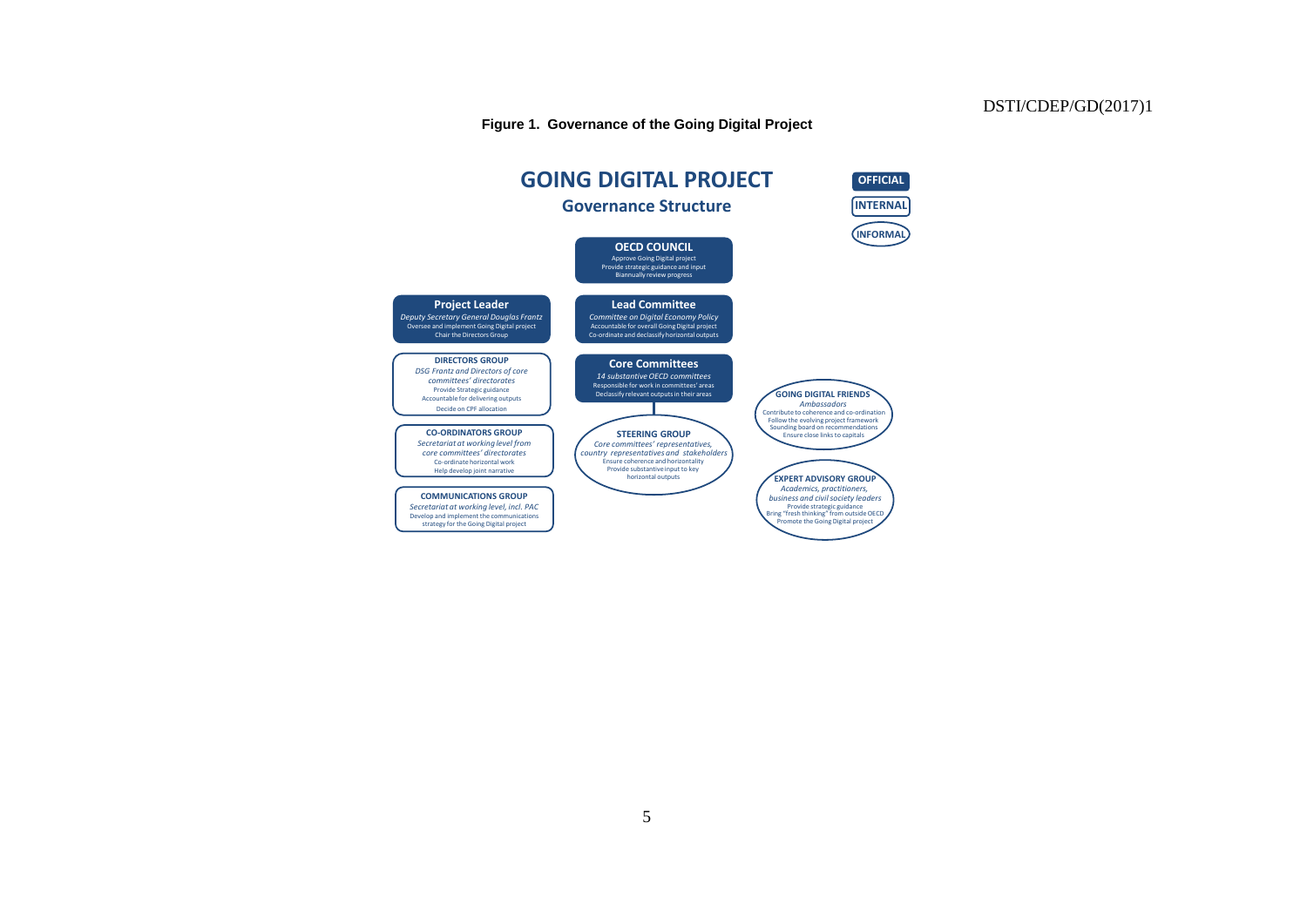#### **Figure 1. Governance of the Going Digital Project**

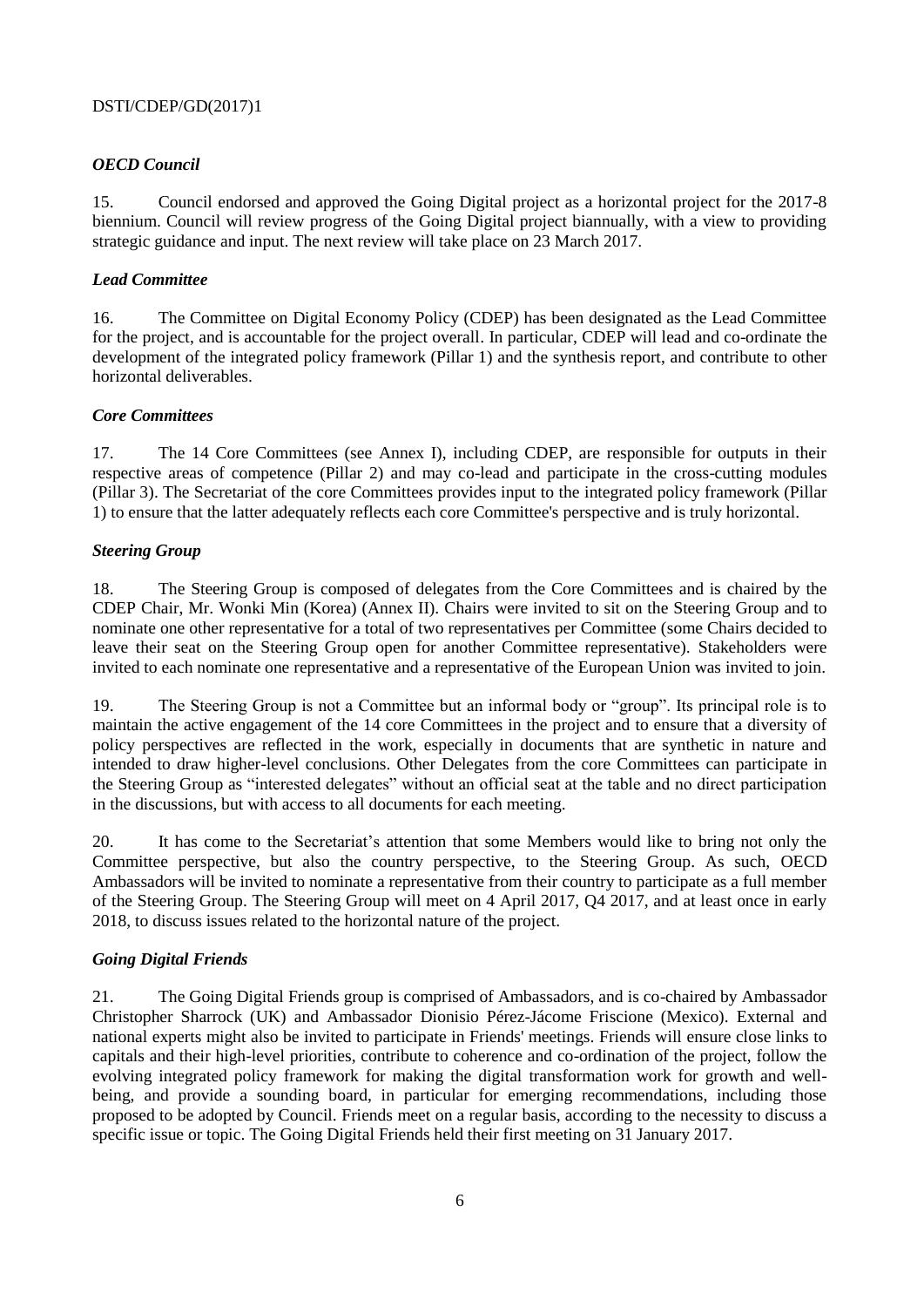# *OECD Council*

15. Council endorsed and approved the Going Digital project as a horizontal project for the 2017-8 biennium. Council will review progress of the Going Digital project biannually, with a view to providing strategic guidance and input. The next review will take place on 23 March 2017.

## *Lead Committee*

16. The Committee on Digital Economy Policy (CDEP) has been designated as the Lead Committee for the project, and is accountable for the project overall. In particular, CDEP will lead and co-ordinate the development of the integrated policy framework (Pillar 1) and the synthesis report, and contribute to other horizontal deliverables.

## *Core Committees*

17. The 14 Core Committees (see Annex I), including CDEP, are responsible for outputs in their respective areas of competence (Pillar 2) and may co-lead and participate in the cross-cutting modules (Pillar 3). The Secretariat of the core Committees provides input to the integrated policy framework (Pillar 1) to ensure that the latter adequately reflects each core Committee's perspective and is truly horizontal.

## *Steering Group*

18. The Steering Group is composed of delegates from the Core Committees and is chaired by the CDEP Chair, Mr. Wonki Min (Korea) (Annex II). Chairs were invited to sit on the Steering Group and to nominate one other representative for a total of two representatives per Committee (some Chairs decided to leave their seat on the Steering Group open for another Committee representative). Stakeholders were invited to each nominate one representative and a representative of the European Union was invited to join.

19. The Steering Group is not a Committee but an informal body or "group". Its principal role is to maintain the active engagement of the 14 core Committees in the project and to ensure that a diversity of policy perspectives are reflected in the work, especially in documents that are synthetic in nature and intended to draw higher-level conclusions. Other Delegates from the core Committees can participate in the Steering Group as "interested delegates" without an official seat at the table and no direct participation in the discussions, but with access to all documents for each meeting.

20. It has come to the Secretariat's attention that some Members would like to bring not only the Committee perspective, but also the country perspective, to the Steering Group. As such, OECD Ambassadors will be invited to nominate a representative from their country to participate as a full member of the Steering Group. The Steering Group will meet on 4 April 2017, Q4 2017, and at least once in early 2018, to discuss issues related to the horizontal nature of the project.

# *Going Digital Friends*

21. The Going Digital Friends group is comprised of Ambassadors, and is co-chaired by Ambassador Christopher Sharrock (UK) and Ambassador Dionisio Pérez-Jácome Friscione (Mexico). External and national experts might also be invited to participate in Friends' meetings. Friends will ensure close links to capitals and their high-level priorities, contribute to coherence and co-ordination of the project, follow the evolving integrated policy framework for making the digital transformation work for growth and wellbeing, and provide a sounding board, in particular for emerging recommendations, including those proposed to be adopted by Council. Friends meet on a regular basis, according to the necessity to discuss a specific issue or topic. The Going Digital Friends held their first meeting on 31 January 2017.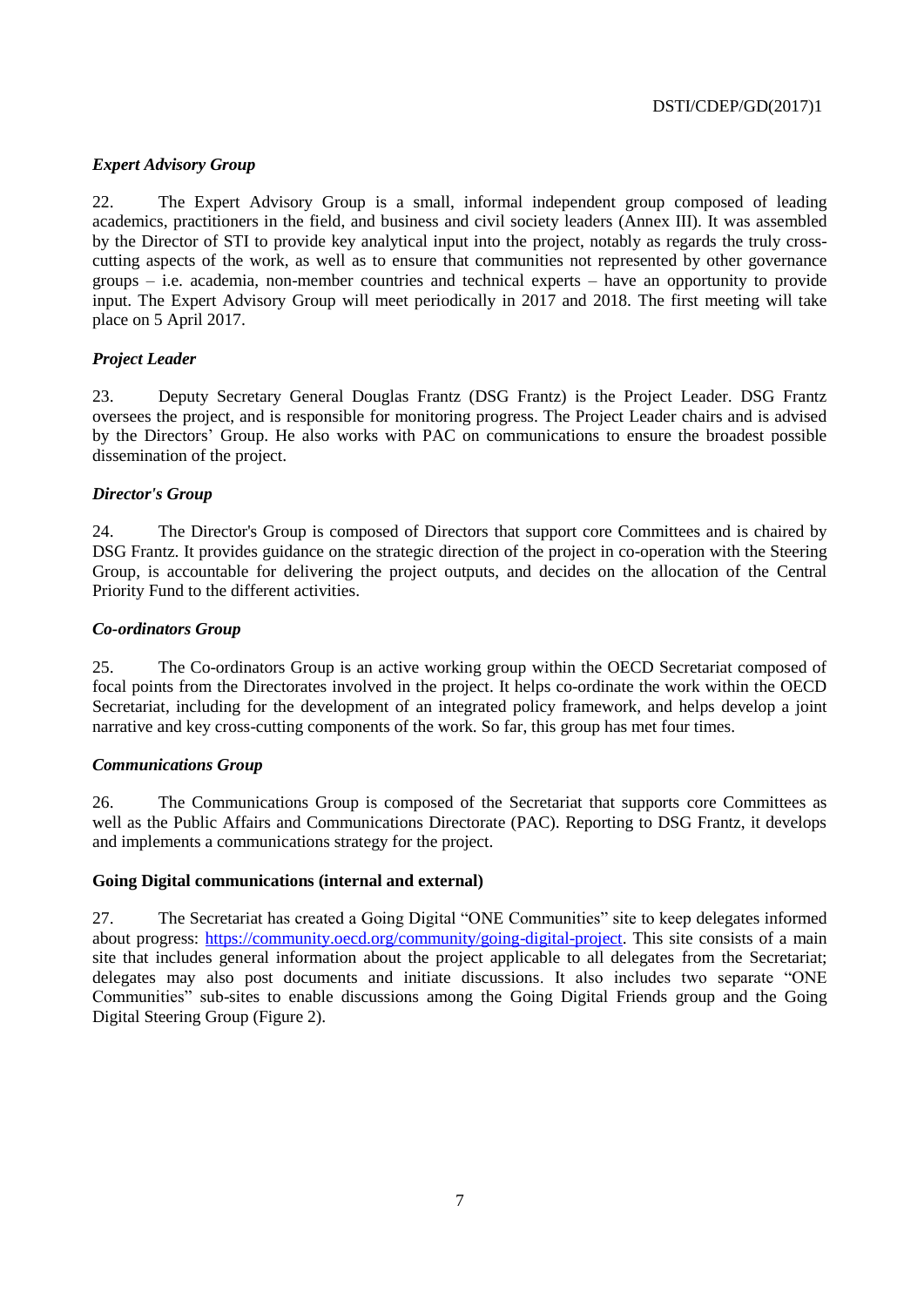# *Expert Advisory Group*

22. The Expert Advisory Group is a small, informal independent group composed of leading academics, practitioners in the field, and business and civil society leaders (Annex III). It was assembled by the Director of STI to provide key analytical input into the project, notably as regards the truly crosscutting aspects of the work, as well as to ensure that communities not represented by other governance groups – i.e. academia, non-member countries and technical experts – have an opportunity to provide input. The Expert Advisory Group will meet periodically in 2017 and 2018. The first meeting will take place on 5 April 2017.

## *Project Leader*

23. Deputy Secretary General Douglas Frantz (DSG Frantz) is the Project Leader. DSG Frantz oversees the project, and is responsible for monitoring progress. The Project Leader chairs and is advised by the Directors' Group. He also works with PAC on communications to ensure the broadest possible dissemination of the project.

## *Director's Group*

24. The Director's Group is composed of Directors that support core Committees and is chaired by DSG Frantz. It provides guidance on the strategic direction of the project in co-operation with the Steering Group, is accountable for delivering the project outputs, and decides on the allocation of the Central Priority Fund to the different activities.

## *Co-ordinators Group*

25. The Co-ordinators Group is an active working group within the OECD Secretariat composed of focal points from the Directorates involved in the project. It helps co-ordinate the work within the OECD Secretariat, including for the development of an integrated policy framework, and helps develop a joint narrative and key cross-cutting components of the work. So far, this group has met four times.

## *Communications Group*

26. The Communications Group is composed of the Secretariat that supports core Committees as well as the Public Affairs and Communications Directorate (PAC). Reporting to DSG Frantz, it develops and implements a communications strategy for the project.

## **Going Digital communications (internal and external)**

27. The Secretariat has created a Going Digital "ONE Communities" site to keep delegates informed about progress: [https://community.oecd.org/community/going-digital-project.](https://community.oecd.org/community/going-digital-project) This site consists of a main site that includes general information about the project applicable to all delegates from the Secretariat; delegates may also post documents and initiate discussions. It also includes two separate "ONE Communities" sub-sites to enable discussions among the Going Digital Friends group and the Going Digital Steering Group (Figure 2).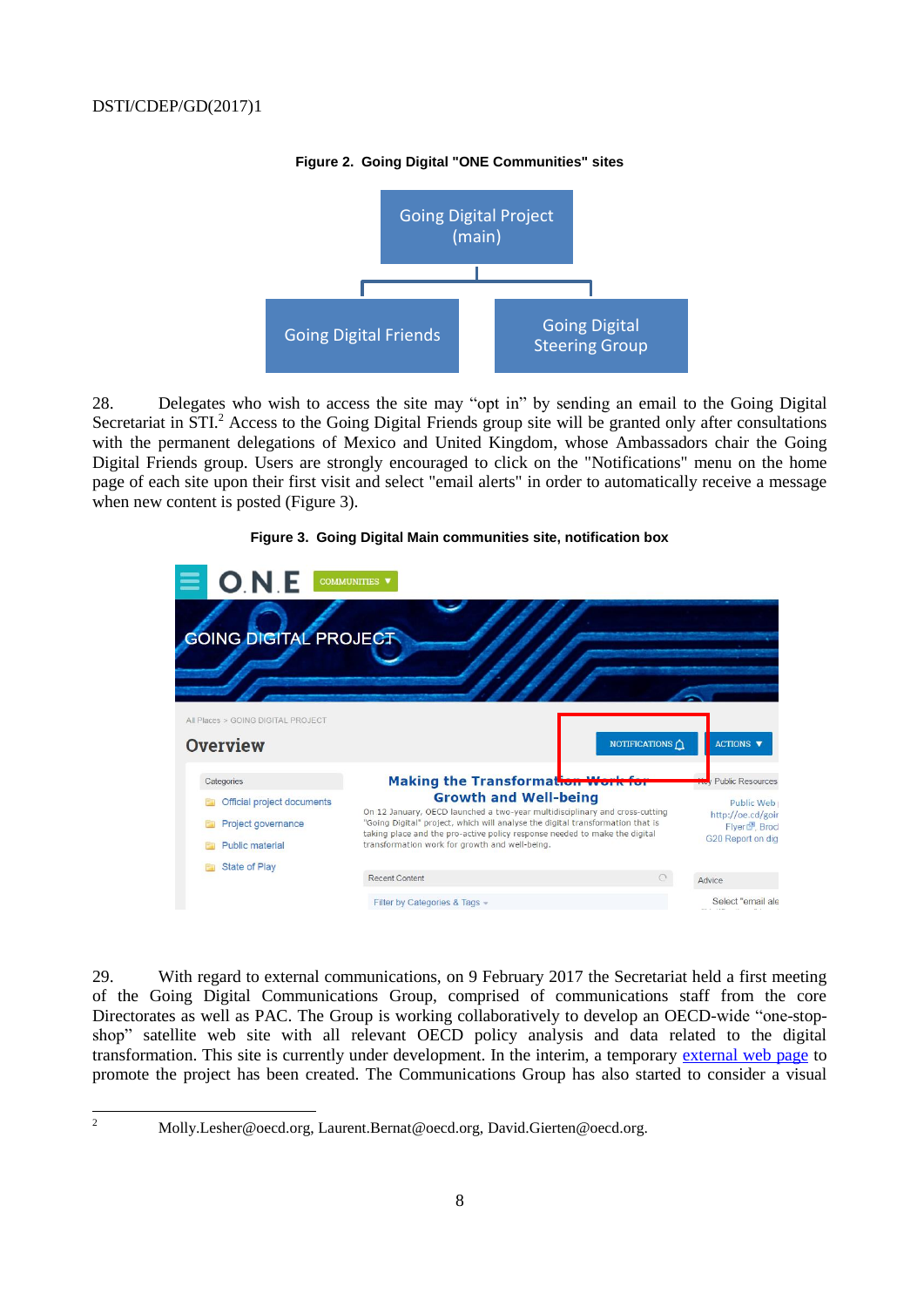

#### **Figure 2. Going Digital "ONE Communities" sites**

28. Delegates who wish to access the site may "opt in" by sending an email to the Going Digital Secretariat in STI.<sup>2</sup> Access to the Going Digital Friends group site will be granted only after consultations with the permanent delegations of Mexico and United Kingdom, whose Ambassadors chair the Going Digital Friends group. Users are strongly encouraged to click on the "Notifications" menu on the home page of each site upon their first visit and select "email alerts" in order to automatically receive a message when new content is posted (Figure 3).



#### **Figure 3. Going Digital Main communities site, notification box**

29. With regard to external communications, on 9 February 2017 the Secretariat held a first meeting of the Going Digital Communications Group, comprised of communications staff from the core Directorates as well as PAC. The Group is working collaboratively to develop an OECD-wide "one-stopshop" satellite web site with all relevant OECD policy analysis and data related to the digital transformation. This site is currently under development. In the interim, a temporary [external web page](http://www.oecd.org/sti/goingdigital.htm) to promote the project has been created. The Communications Group has also started to consider a visual

 $\overline{2}$ 

<sup>2</sup> Molly.Lesher@oecd.org, Laurent.Bernat@oecd.org, David.Gierten@oecd.org.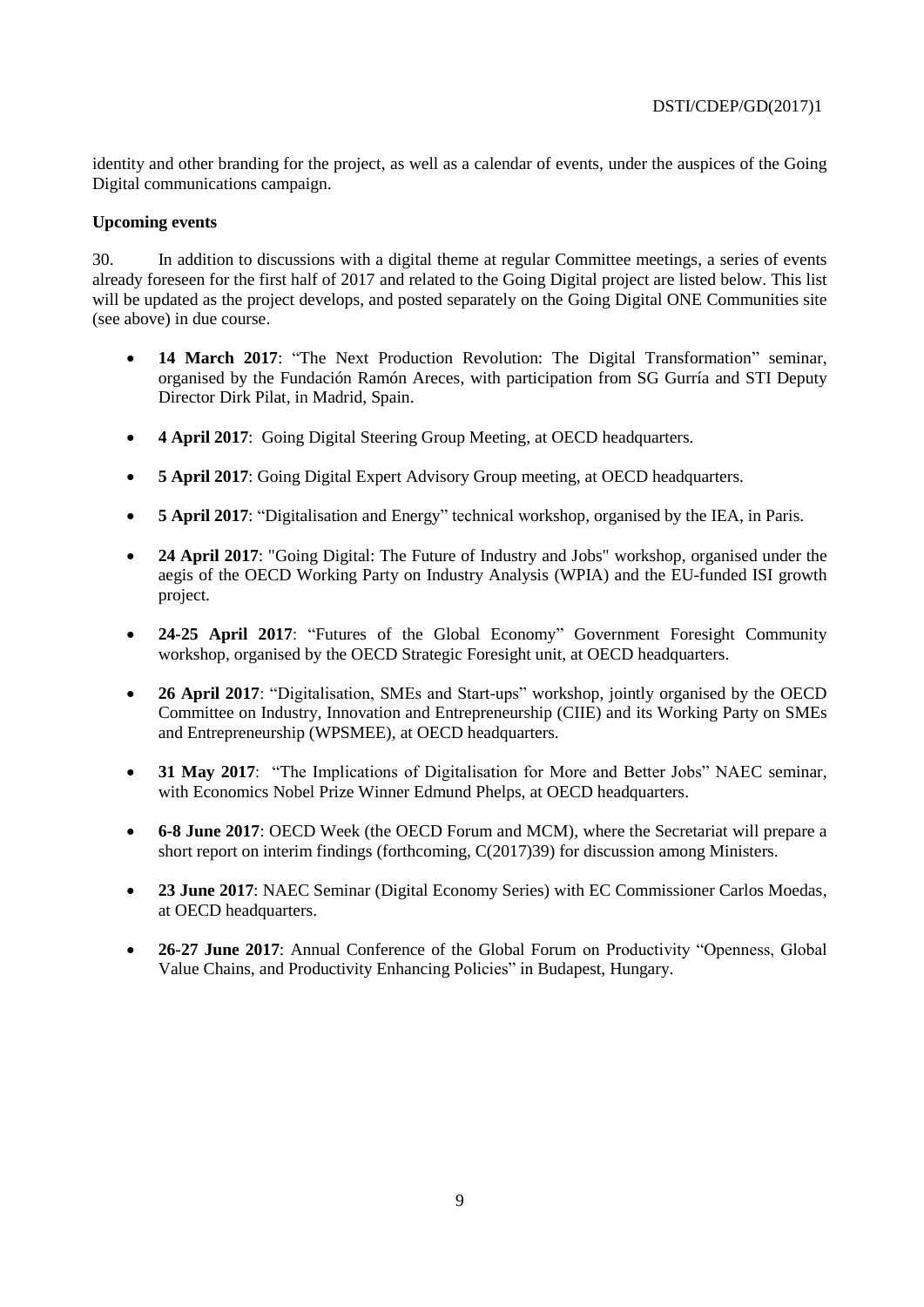identity and other branding for the project, as well as a calendar of events, under the auspices of the Going Digital communications campaign.

## **Upcoming events**

30. In addition to discussions with a digital theme at regular Committee meetings, a series of events already foreseen for the first half of 2017 and related to the Going Digital project are listed below. This list will be updated as the project develops, and posted separately on the Going Digital ONE Communities site (see above) in due course.

- **14 March 2017**: "The Next Production Revolution: The Digital Transformation" seminar, organised by the Fundación Ramón Areces, with participation from SG Gurría and STI Deputy Director Dirk Pilat, in Madrid, Spain.
- **4 April 2017**: Going Digital Steering Group Meeting, at OECD headquarters.
- **5 April 2017**: Going Digital Expert Advisory Group meeting, at OECD headquarters.
- **5 April 2017**: "Digitalisation and Energy" technical workshop, organised by the IEA, in Paris.
- **24 April 2017**: "Going Digital: The Future of Industry and Jobs" workshop, organised under the aegis of the OECD Working Party on Industry Analysis (WPIA) and the EU-funded ISI growth project.
- **24-25 April 2017**: "Futures of the Global Economy" Government Foresight Community workshop, organised by the OECD Strategic Foresight unit, at OECD headquarters.
- **26 April 2017**: "Digitalisation, SMEs and Start-ups" workshop, jointly organised by the OECD Committee on Industry, Innovation and Entrepreneurship (CIIE) and its Working Party on SMEs and Entrepreneurship (WPSMEE), at OECD headquarters.
- **31 May 2017**: "The Implications of Digitalisation for More and Better Jobs" NAEC seminar, with Economics Nobel Prize Winner Edmund Phelps, at OECD headquarters.
- **6-8 June 2017**: OECD Week (the OECD Forum and MCM), where the Secretariat will prepare a short report on interim findings (forthcoming, C(2017)39) for discussion among Ministers.
- **23 June 2017**: NAEC Seminar (Digital Economy Series) with EC Commissioner Carlos Moedas, at OECD headquarters.
- **26-27 June 2017**: Annual Conference of the Global Forum on Productivity "Openness, Global Value Chains, and Productivity Enhancing Policies" in Budapest, Hungary.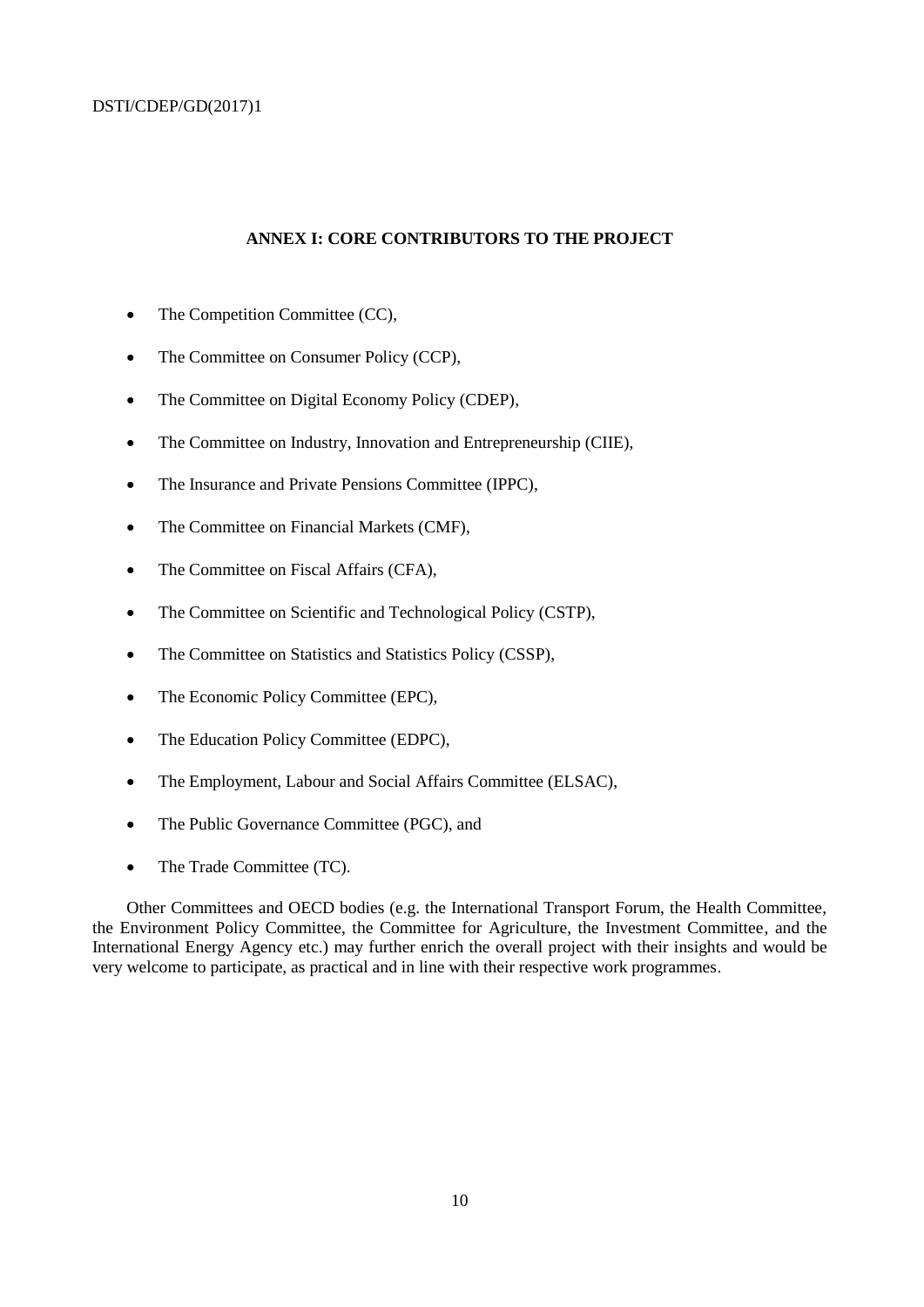#### **ANNEX I: CORE CONTRIBUTORS TO THE PROJECT**

- The Competition Committee (CC),
- The Committee on Consumer Policy (CCP),
- The Committee on Digital Economy Policy (CDEP),
- The Committee on Industry, Innovation and Entrepreneurship (CIIE),
- The Insurance and Private Pensions Committee (IPPC).
- The Committee on Financial Markets (CMF),
- The Committee on Fiscal Affairs (CFA),
- The Committee on Scientific and Technological Policy (CSTP),
- The Committee on Statistics and Statistics Policy (CSSP),
- The Economic Policy Committee (EPC),
- The Education Policy Committee (EDPC),
- The Employment, Labour and Social Affairs Committee (ELSAC),
- The Public Governance Committee (PGC), and
- The Trade Committee (TC).

Other Committees and OECD bodies (e.g. the International Transport Forum, the Health Committee, the Environment Policy Committee, the Committee for Agriculture, the Investment Committee, and the International Energy Agency etc.) may further enrich the overall project with their insights and would be very welcome to participate, as practical and in line with their respective work programmes.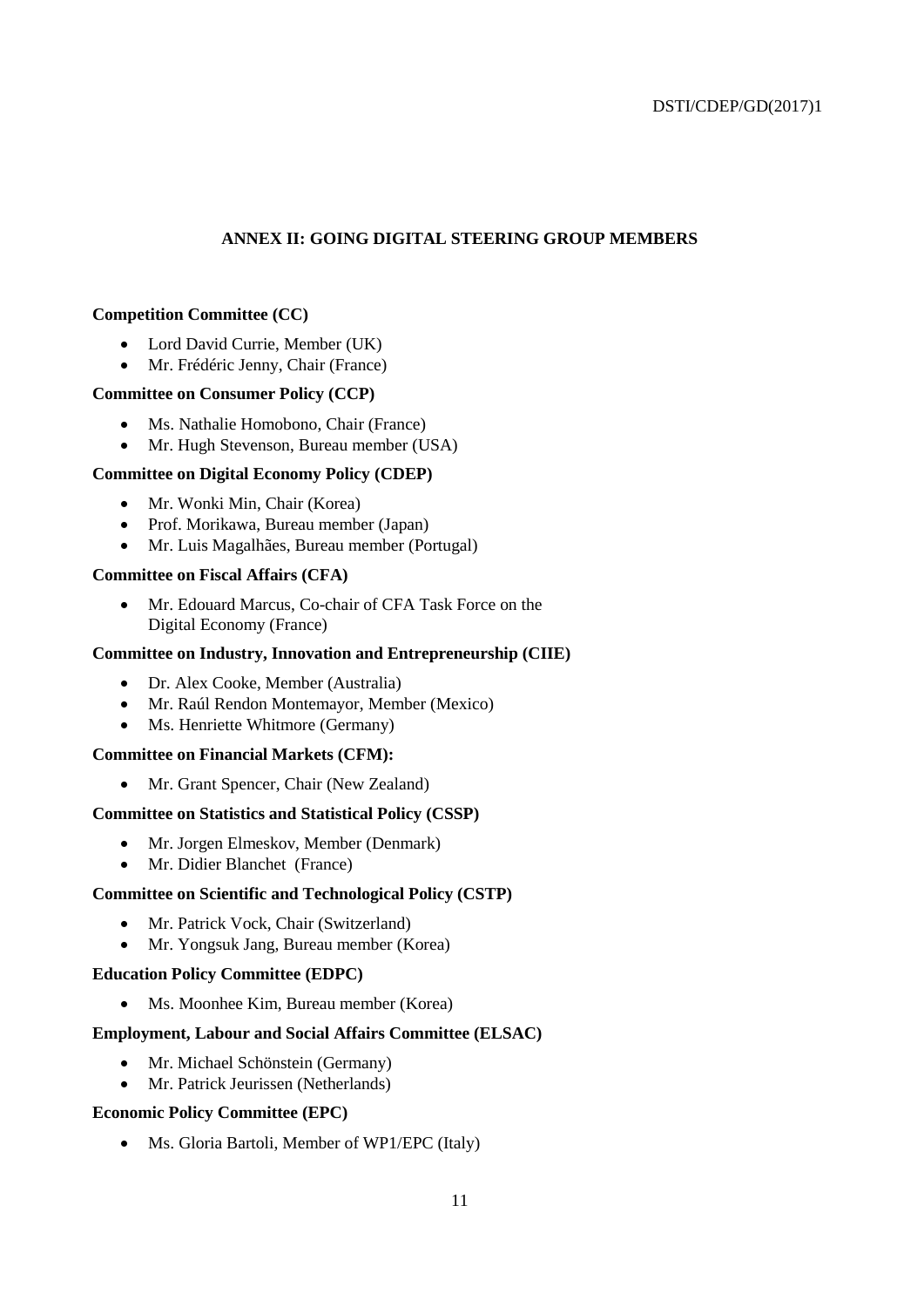## **ANNEX II: GOING DIGITAL STEERING GROUP MEMBERS**

#### **Competition Committee (CC)**

- Lord David Currie, Member (UK)
- Mr. Frédéric Jenny, Chair (France)

#### **Committee on Consumer Policy (CCP)**

- Ms. Nathalie Homobono, Chair (France)
- Mr. Hugh Stevenson, Bureau member (USA)

#### **Committee on Digital Economy Policy (CDEP)**

- Mr. Wonki Min, Chair (Korea)
- Prof. Morikawa, Bureau member (Japan)
- Mr. Luis Magalhães, Bureau member (Portugal)

#### **Committee on Fiscal Affairs (CFA)**

 Mr. Edouard Marcus, Co-chair of CFA Task Force on the Digital Economy (France)

## **Committee on Industry, Innovation and Entrepreneurship (CIIE)**

- Dr. Alex Cooke, Member (Australia)
- Mr. Raúl Rendon Montemayor, Member (Mexico)
- Ms. Henriette Whitmore (Germany)

#### **Committee on Financial Markets (CFM):**

• Mr. Grant Spencer, Chair (New Zealand)

#### **Committee on Statistics and Statistical Policy (CSSP)**

- Mr. Jorgen Elmeskov, Member (Denmark)
- Mr. Didier Blanchet (France)

## **Committee on Scientific and Technological Policy (CSTP)**

- Mr. Patrick Vock, Chair (Switzerland)
- Mr. Yongsuk Jang, Bureau member (Korea)

#### **Education Policy Committee (EDPC)**

• Ms. Moonhee Kim, Bureau member (Korea)

#### **Employment, Labour and Social Affairs Committee (ELSAC)**

- Mr. Michael Schönstein (Germany)
- Mr. Patrick Jeurissen (Netherlands)

#### **Economic Policy Committee (EPC)**

Ms. Gloria Bartoli, Member of WP1/EPC (Italy)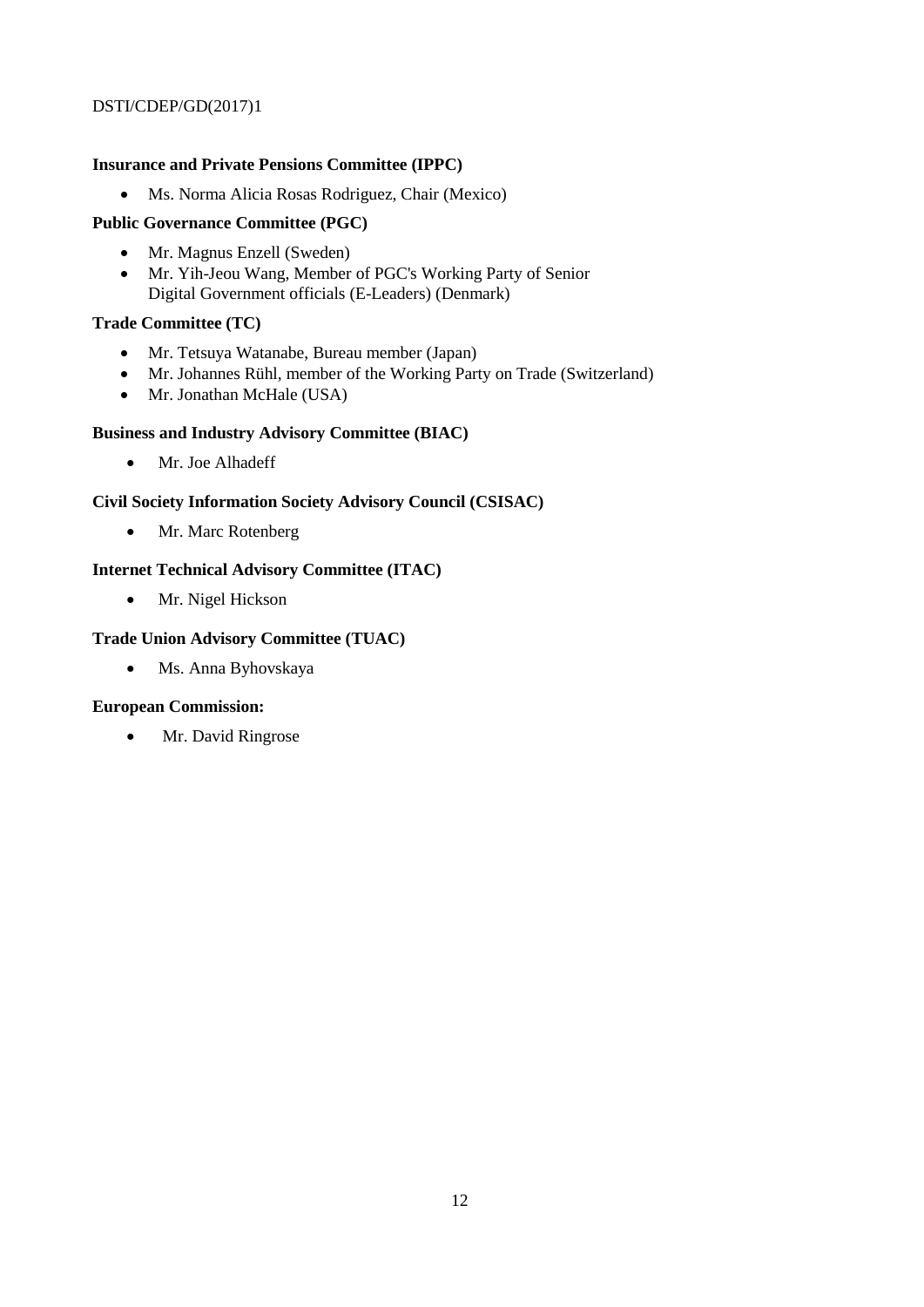## **Insurance and Private Pensions Committee (IPPC)**

Ms. Norma Alicia Rosas Rodriguez, Chair (Mexico)

# **Public Governance Committee (PGC)**

- Mr. Magnus Enzell (Sweden)
- Mr. Yih-Jeou Wang, Member of PGC's Working Party of Senior Digital Government officials (E-Leaders) (Denmark)

## **Trade Committee (TC)**

- Mr. Tetsuya Watanabe, Bureau member (Japan)
- Mr. Johannes Rühl, member of the Working Party on Trade (Switzerland)
- Mr. Jonathan McHale (USA)

# **Business and Industry Advisory Committee (BIAC)**

Mr. Joe Alhadeff

## **Civil Society Information Society Advisory Council (CSISAC)**

• Mr. Marc Rotenberg

# **Internet Technical Advisory Committee (ITAC)**

• Mr. Nigel Hickson

# **Trade Union Advisory Committee (TUAC)**

Ms. Anna Byhovskaya

## **European Commission:**

• Mr. David Ringrose